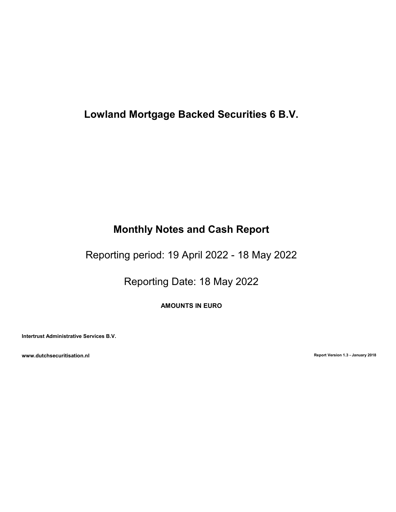# Lowland Mortgage Backed Securities 6 B.V.

# Monthly Notes and Cash Report

Reporting period: 19 April 2022 - 18 May 2022

Reporting Date: 18 May 2022

AMOUNTS IN EURO

Intertrust Administrative Services B.V.

www.dutchsecuritisation.nl **Report Version 1.3 - January 2018**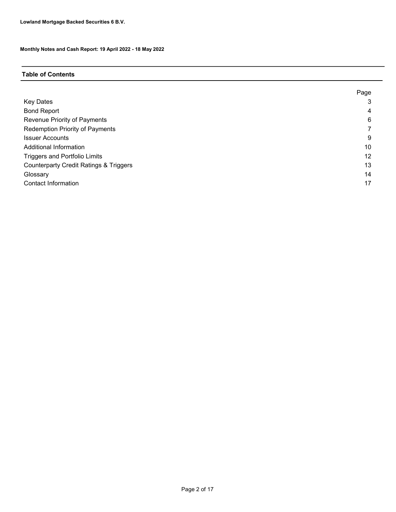## Table of Contents

|                                                   | Page |
|---------------------------------------------------|------|
| <b>Key Dates</b>                                  | 3    |
| <b>Bond Report</b>                                | 4    |
| Revenue Priority of Payments                      | 6    |
| <b>Redemption Priority of Payments</b>            |      |
| <b>Issuer Accounts</b>                            | 9    |
| Additional Information                            | 10   |
| <b>Triggers and Portfolio Limits</b>              | 12   |
| <b>Counterparty Credit Ratings &amp; Triggers</b> | 13   |
| Glossary                                          | 14   |
| <b>Contact Information</b>                        | 17   |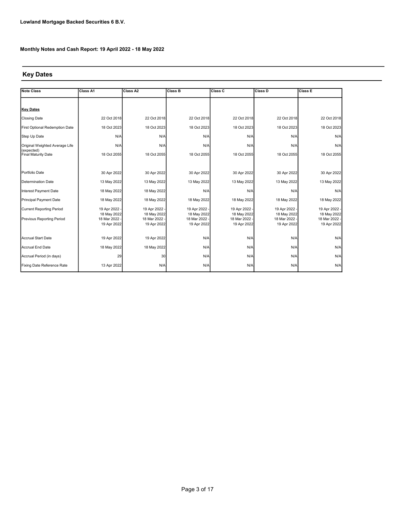# Key Dates

| <b>Note Class</b>                 | Class A1                   | Class A2                   | Class B                      | <b>Class C</b>               | Class D                      | <b>Class E</b>               |
|-----------------------------------|----------------------------|----------------------------|------------------------------|------------------------------|------------------------------|------------------------------|
|                                   |                            |                            |                              |                              |                              |                              |
| <b>Key Dates</b>                  |                            |                            |                              |                              |                              |                              |
| <b>Closing Date</b>               | 22 Oct 2018                | 22 Oct 2018                | 22 Oct 2018                  | 22 Oct 2018                  | 22 Oct 2018                  | 22 Oct 2018                  |
| First Optional Redemption Date    | 18 Oct 2023                | 18 Oct 2023                | 18 Oct 2023                  | 18 Oct 2023                  | 18 Oct 2023                  | 18 Oct 2023                  |
| Step Up Date                      | N/A                        | N/A                        | N/A                          | N/A                          | N/A                          | N/A                          |
| Original Weighted Average Life    | N/A                        | N/A                        | N/A                          | N/A                          | N/A                          | N/A                          |
| (expected)<br>Final Maturity Date | 18 Oct 2055                | 18 Oct 2055                | 18 Oct 2055                  | 18 Oct 2055                  | 18 Oct 2055                  | 18 Oct 2055                  |
|                                   |                            |                            |                              |                              |                              |                              |
| Portfolio Date                    | 30 Apr 2022                | 30 Apr 2022                | 30 Apr 2022                  | 30 Apr 2022                  | 30 Apr 2022                  | 30 Apr 2022                  |
| Determination Date                | 13 May 2022                | 13 May 2022                | 13 May 2022                  | 13 May 2022                  | 13 May 2022                  | 13 May 2022                  |
| Interest Payment Date             | 18 May 2022                | 18 May 2022                | N/A                          | N/A                          | N/A                          | N/A                          |
| Principal Payment Date            | 18 May 2022                | 18 May 2022                | 18 May 2022                  | 18 May 2022                  | 18 May 2022                  | 18 May 2022                  |
| <b>Current Reporting Period</b>   | 19 Apr 2022 -              | 19 Apr 2022 -              | 19 Apr 2022 -                | 19 Apr 2022 -                | 19 Apr 2022 -                | 19 Apr 2022 -                |
| Previous Reporting Period         | 18 May 2022<br>18 Mar 2022 | 18 May 2022<br>18 Mar 2022 | 18 May 2022<br>18 Mar 2022 - | 18 May 2022<br>18 Mar 2022 - | 18 May 2022<br>18 Mar 2022 - | 18 May 2022<br>18 Mar 2022 - |
|                                   | 19 Apr 2022                | 19 Apr 2022                | 19 Apr 2022                  | 19 Apr 2022                  | 19 Apr 2022                  | 19 Apr 2022                  |
|                                   |                            |                            |                              |                              |                              |                              |
| Accrual Start Date                | 19 Apr 2022                | 19 Apr 2022                | N/A                          | N/A                          | N/A                          | N/A                          |
| Accrual End Date                  | 18 May 2022                | 18 May 2022                | N/A                          | N/A                          | N/A                          | N/A                          |
| Accrual Period (in days)          | 29                         | 30                         | N/A                          | N/A                          | N/A                          | N/A                          |
| Fixing Date Reference Rate        | 13 Apr 2022                | N/A                        | N/A                          | N/A                          | N/A                          | N/A                          |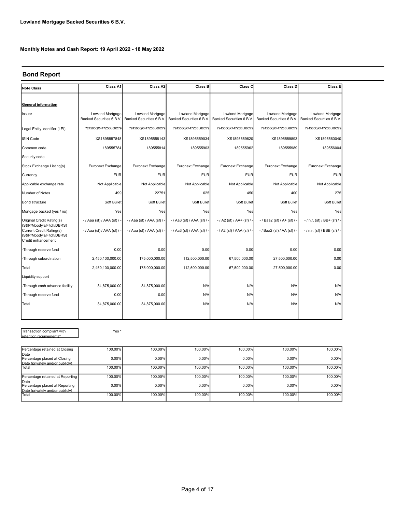# Bond Report

| Note Class                                                                                             | Class A1                                    | Class A2                                    | Class B                                     | Class C                                     | Class D                                     | Class E                                      |
|--------------------------------------------------------------------------------------------------------|---------------------------------------------|---------------------------------------------|---------------------------------------------|---------------------------------------------|---------------------------------------------|----------------------------------------------|
|                                                                                                        |                                             |                                             |                                             |                                             |                                             |                                              |
| <b>General information</b>                                                                             |                                             |                                             |                                             |                                             |                                             |                                              |
| Issuer                                                                                                 | Lowland Mortgage<br>Backed Securities 6 B.V | Lowland Mortgage<br>Backed Securities 6 B.V | Lowland Mortgage<br>Backed Securities 6 B.V | Lowland Mortgage<br>Backed Securities 6 B.V | Lowland Mortgage<br>Backed Securities 6 B.V | Lowland Mortgage<br>Backed Securities 6 B.V. |
| Legal Entity Identifier (LEI)                                                                          | 724500QX447Z5BL66C79                        | 724500QX447Z5BL66C79                        | 724500QX447Z5BL66C79                        | 724500QX447Z5BL66C79                        | 724500QX447Z5BL66C79                        | 724500QX447Z5BL66C79                         |
| <b>ISIN Code</b>                                                                                       | XS1895557848                                | XS1895558143                                | XS1895559034                                | XS1895559620                                | XS1895559893                                | XS1895560040                                 |
| Common code                                                                                            | 189555784                                   | 189555814                                   | 189555903                                   | 189555962                                   | 189555989                                   | 189556004                                    |
| Security code                                                                                          |                                             |                                             |                                             |                                             |                                             |                                              |
| Stock Exchange Listing(s)                                                                              | Euronext Exchange                           | Euronext Exchange                           | Euronext Exchange                           | Euronext Exchange                           | <b>Euronext Exchange</b>                    | Euronext Exchange                            |
| Currency                                                                                               | <b>EUR</b>                                  | <b>EUR</b>                                  | <b>EUR</b>                                  | <b>EUR</b>                                  | <b>EUR</b>                                  | <b>EUR</b>                                   |
| Applicable exchange rate                                                                               | Not Applicable                              | Not Applicable                              | Not Applicable                              | Not Applicable                              | Not Applicable                              | Not Applicable                               |
| Number of Notes                                                                                        | 499                                         | 22751                                       | 625                                         | 450                                         | 400                                         | 275                                          |
| Bond structure                                                                                         | Soft Bullet                                 | Soft Bullet                                 | Soft Bullet                                 | Soft Bullet                                 | Soft Bullet                                 | Soft Bullet                                  |
| Mortgage backed (yes / no)                                                                             | Yes                                         | Yes                                         | Yes                                         | Yes                                         | Yes                                         | Yes                                          |
| Original Credit Rating(s)                                                                              | -/ Aaa (sf) / AAA (sf) / -                  | - / Aaa (sf) / AAA (sf) / -                 | - / Aa3 (sf) / AAA (sf) / -                 | $-$ / A2 (sf) / AA+ (sf) / -                | $-$ / Baa2 (sf) / A+ (sf) / -               | $-$ / n.r. (sf) / BB+ (sf) / -               |
| (S&P/Moody's/Fitch/DBRS)<br>Current Credit Rating(s)<br>(S&P/Moody's/Fitch/DBRS)<br>Credit enhancement | - / Aaa (sf) / AAA (sf) / -                 | - / Aaa (sf) / AAA (sf) / -                 | - / Aa3 (sf) / AAA (sf) / -                 | - / A2 (sf) / AAA (sf) / -                  | - / Baa2 (sf) / AA (sf) / -                 | - / n.r. (sf) / BBB (sf) / -                 |
| -Through reserve fund                                                                                  | 0.00                                        | 0.00                                        | 0.00                                        | 0.00                                        | 0.00                                        | 0.00                                         |
| -Through subordination                                                                                 | 2,450,100,000.00                            | 175,000,000.00                              | 112,500,000.00                              | 67,500,000.00                               | 27,500,000.00                               | 0.00                                         |
| Total                                                                                                  | 2,450,100,000.00                            | 175,000,000.00                              | 112,500,000.00                              | 67,500,000.00                               | 27,500,000.00                               | 0.00                                         |
| Liquidity support                                                                                      |                                             |                                             |                                             |                                             |                                             |                                              |
| -Through cash advance facility                                                                         | 34,875,000.00                               | 34,875,000.00                               | N/A                                         | N/A                                         | N/A                                         | N/A                                          |
| -Through reserve fund                                                                                  | 0.00                                        | 0.00                                        | N/A                                         | N/A                                         | N/A                                         | N/A                                          |
| Total                                                                                                  | 34,875,000.00                               | 34,875,000.00                               | N/A                                         | N/A                                         | N/A                                         | N/A                                          |
|                                                                                                        |                                             |                                             |                                             |                                             |                                             |                                              |

Transaction compliant with retention requirements\*

Yes \*

| Percentage retained at Closing         | 100.00%  | 100.00%  | 100.00% | 100.00% | 100.00% | 100.00% |
|----------------------------------------|----------|----------|---------|---------|---------|---------|
| Date<br>Percentage placed at Closing   | $0.00\%$ | 0.00%    | 0.00%   | 0.00%   | 0.00%   | 0.00%   |
| Date (privately and/or publicly)       |          |          |         |         |         |         |
| <b>Total</b>                           | 100.00%  | 100.00%  | 100.00% | 100.00% | 100.00% | 100.00% |
|                                        |          |          |         |         |         |         |
| Percentage retained at Reporting       | 100.00%  | 100.00%  | 100.00% | 100.00% | 100.00% | 100.00% |
| Date<br>Percentage placed at Reporting | $0.00\%$ | $0.00\%$ | 0.00%   | 0.00%   | 0.00%   | 0.00%   |
| Date (privately and/or publicly)       |          |          |         |         |         |         |
| Total                                  | 100.00%  | 100.00%  | 100.00% | 100.00% | 100.00% | 100.00% |
|                                        |          |          |         |         |         |         |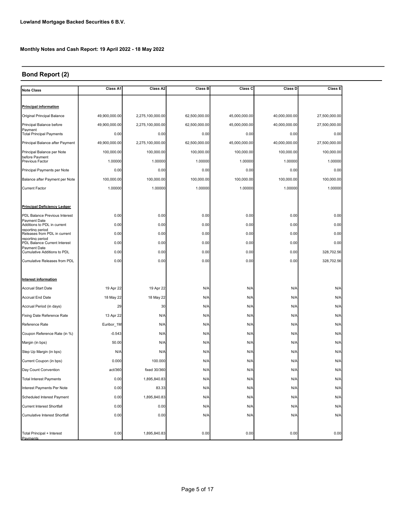# Bond Report (2)

| <b>Note Class</b>                                | Class A1      | Class A2         | <b>Class B</b> | Class C       | Class D       | <b>Class E</b> |
|--------------------------------------------------|---------------|------------------|----------------|---------------|---------------|----------------|
|                                                  |               |                  |                |               |               |                |
| <b>Principal information</b>                     |               |                  |                |               |               |                |
| Original Principal Balance                       | 49,900,000.00 | 2,275,100,000.00 | 62,500,000.00  | 45,000,000.00 | 40,000,000.00 | 27,500,000.00  |
| Principal Balance before<br>Payment              | 49,900,000.00 | 2,275,100,000.00 | 62,500,000.00  | 45,000,000.00 | 40,000,000.00 | 27,500,000.00  |
| <b>Total Principal Payments</b>                  | 0.00          | 0.00             | 0.00           | 0.00          | 0.00          | 0.00           |
| Principal Balance after Payment                  | 49,900,000.00 | 2,275,100,000.00 | 62,500,000.00  | 45,000,000.00 | 40,000,000.00 | 27,500,000.00  |
| Principal Balance per Note                       | 100,000.00    | 100,000.00       | 100,000.00     | 100,000.00    | 100,000.00    | 100,000.00     |
| before Payment<br><b>Previous Factor</b>         | 1.00000       | 1.00000          | 1.00000        | 1.00000       | 1.00000       | 1.00000        |
| Principal Payments per Note                      | 0.00          | 0.00             | 0.00           | 0.00          | 0.00          | 0.00           |
| Balance after Payment per Note                   | 100,000.00    | 100,000.00       | 100,000.00     | 100,000.00    | 100,000.00    | 100,000.00     |
| <b>Current Factor</b>                            | 1.00000       | 1.00000          | 1.00000        | 1.00000       | 1.00000       | 1.00000        |
|                                                  |               |                  |                |               |               |                |
| <b>Principal Deficiency Ledger</b>               |               |                  |                |               |               |                |
| PDL Balance Previous Interest                    | 0.00          | 0.00             | 0.00           | 0.00          | 0.00          | 0.00           |
| Payment Date<br>Additions to PDL in current      | 0.00          | 0.00             | 0.00           | 0.00          | 0.00          | 0.00           |
| reporting period<br>Releases from PDL in current | 0.00          | 0.00             | 0.00           | 0.00          | 0.00          | 0.00           |
| reporting period<br>PDL Balance Current Interest | 0.00          | 0.00             | 0.00           | 0.00          | 0.00          | 0.00           |
| Payment Date<br>Cumulative Additions to PDL      | 0.00          | 0.00             | 0.00           | 0.00          | 0.00          | 328,702.56     |
| Cumulative Releases from PDL                     | 0.00          | 0.00             | 0.00           | 0.00          | 0.00          | 328,702.56     |
|                                                  |               |                  |                |               |               |                |
| Interest information                             |               |                  |                |               |               |                |
| <b>Accrual Start Date</b>                        | 19 Apr 22     | 19 Apr 22        | N/A            | N/A           | N/A           | N/A            |
| Accrual End Date                                 | 18 May 22     | 18 May 22        | N/A            | N/A           | N/A           | N/A            |
| Accrual Period (in days)                         | 29            | 30               | N/A            | N/A           | N/A           | N/A            |
| Fixing Date Reference Rate                       | 13 Apr 22     | N/A              | N/A            | N/A           | N/A           | N/A            |
| Reference Rate                                   | Euribor_1M    | N/A              | N/A            | N/A           | N/A           | N/A            |
| Coupon Reference Rate (in %)                     | $-0.543$      | N/A              | N/A            | N/A           | N/A           | N/A            |
| Margin (in bps)                                  | 50.00         | N/A              | N/A            | N/A           | N/A           | N/A            |
| Step Up Margin (in bps)                          | N/A           | N/A              | N/A            | N/A           | N/A           | N/A            |
| Current Coupon (in bps)                          | 0.000         | 100.000          | N/A            | N/A           | N/A           | N/A            |
| Day Count Convention                             | act/360       | fixed 30/360     | N/A            | N/A           | N/A           | N/A            |
| <b>Total Interest Payments</b>                   | 0.00          | 1,895,840.83     | N/A            | N/A           | N/A           | N/A            |
| Interest Payments Per Note                       | 0.00          | 83.33            | N/A            | N/A           | N/A           | N/A            |
| Scheduled Interest Payment                       | 0.00          | 1,895,840.83     | N/A            | N/A           | N/A           | N/A            |
| Current Interest Shortfall                       | 0.00          | 0.00             | N/A            | N/A           | N/A           | N/A            |
| Cumulative Interest Shortfall                    | 0.00          | 0.00             | N/A            | N/A           | N/A           | N/A            |
|                                                  |               |                  |                |               |               |                |
| Total Principal + Interest<br>Pavments           | 0.00          | 1,895,840.83     | 0.00           | 0.00          | 0.00          | 0.00           |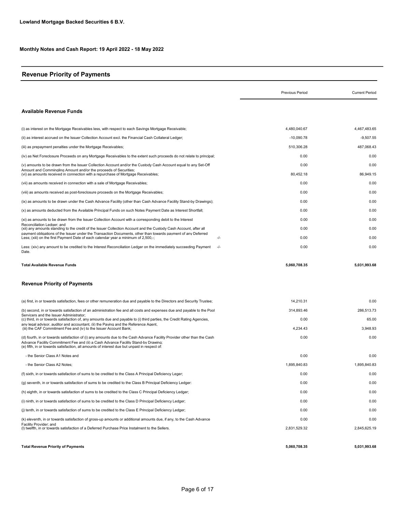# Revenue Priority of Payments

|                                                                                                                                                                                                                                                                          | Previous Period   | <b>Current Period</b> |
|--------------------------------------------------------------------------------------------------------------------------------------------------------------------------------------------------------------------------------------------------------------------------|-------------------|-----------------------|
| <b>Available Revenue Funds</b>                                                                                                                                                                                                                                           |                   |                       |
| (i) as interest on the Mortgage Receivables less, with respect to each Savings Mortgage Receivable;                                                                                                                                                                      | 4.480.040.67      | 4.467.483.65          |
| (ii) as interest accrued on the Issuer Collection Account excl. the Financial Cash Collateral Ledger;                                                                                                                                                                    | $-10,090.78$      | $-9,507.55$           |
| (iii) as prepayment penalties under the Mortgage Receivables;                                                                                                                                                                                                            | 510.306.28        | 487.068.43            |
| (iv) as Net Foreclosure Proceeds on any Mortgage Receivables to the extent such proceeds do not relate to principal;                                                                                                                                                     | 0.00              | 0.00                  |
| (v) amounts to be drawn from the Issuer Collection Account and/or the Custody Cash Account equal to any Set-Off<br>Amount and Commingling Amount and/or the proceeds of Securities:<br>(vi) as amounts received in connection with a repurchase of Mortgage Receivables; | 0.00<br>80.452.18 | 0.00<br>86.949.15     |
| (vii) as amounts received in connection with a sale of Mortgage Receivables;                                                                                                                                                                                             | 0.00              | 0.00                  |
| (viii) as amounts received as post-foreclosure proceeds on the Mortgage Receivables;                                                                                                                                                                                     | 0.00              | 0.00                  |
| (ix) as amounts to be drawn under the Cash Advance Facility (other than Cash Advance Facility Stand-by Drawings);                                                                                                                                                        | 0.00              | 0.00                  |
| (x) as amounts deducted from the Available Principal Funds on such Notes Payment Date as Interest Shortfall;                                                                                                                                                             | 0.00              | 0.00                  |
| (xi) as amounts to be drawn from the Issuer Collection Account with a corresponding debit to the Interest                                                                                                                                                                | 0.00              | 0.00                  |
| Reconciliation Ledger: and<br>(xii) any amounts standing to the credit of the Issuer Collection Account and the Custody Cash Account, after all                                                                                                                          | 0.00              | 0.00                  |
| payment obligations of the Issuer under the Transaction Documents. other than towards payment of any Deferred<br>$-/-$<br>Less; (xiii) on the first Payment Date of each calendar year a minimum of 2,500,-;                                                             | 0.00              | 0.00                  |
| Less: (xiv) any amount to be credited to the Interest Reconciliation Ledger on the immediately succeeding Payment<br>$-/-$<br>Date.                                                                                                                                      | 0.00              | 0.00                  |
| <b>Total Available Revenue Funds</b>                                                                                                                                                                                                                                     | 5.060.708.35      | 5.031.993.68          |

#### Revenue Priority of Payments

| <b>Total Revenue Priority of Payments</b>                                                                                                                                                                                                                                                                     | 5.060.708.35 | 5.031.993.68 |
|---------------------------------------------------------------------------------------------------------------------------------------------------------------------------------------------------------------------------------------------------------------------------------------------------------------|--------------|--------------|
|                                                                                                                                                                                                                                                                                                               |              |              |
| Facility Provider: and<br>(I) twelfth, in or towards satisfaction of a Deferred Purchase Price Instalment to the Sellers.                                                                                                                                                                                     | 2,831,529.32 | 2,845,625.19 |
| (k) eleventh, in or towards satisfaction of gross-up amounts or additional amounts due, if any, to the Cash Advance                                                                                                                                                                                           | 0.00         | 0.00         |
| (i) tenth, in or towards satisfaction of sums to be credited to the Class E Principal Deficiency Ledger;                                                                                                                                                                                                      | 0.00         | 0.00         |
| (i) ninth, in or towards satisfaction of sums to be credited to the Class D Principal Deficiency Ledger;                                                                                                                                                                                                      | 0.00         | 0.00         |
| (h) eighth, in or towards satisfaction of sums to be credited to the Class C Principal Deficiency Ledger;                                                                                                                                                                                                     | 0.00         | 0.00         |
| (q) seventh, in or towards satisfaction of sums to be credited to the Class B Principal Deficiency Ledger:                                                                                                                                                                                                    | 0.00         | 0.00         |
| (f) sixth, in or towards satisfaction of sums to be credited to the Class A Principal Deficiency Leger;                                                                                                                                                                                                       | 0.00         | 0.00         |
| - the Senior Class A2 Notes:                                                                                                                                                                                                                                                                                  | 1,895,840.83 | 1,895,840.83 |
| - the Senior Class A1 Notes and                                                                                                                                                                                                                                                                               | 0.00         | 0.00         |
| (d) fourth, in or towards satisfaction of (i) any amounts due to the Cash Advance Facility Provider other than the Cash<br>Advance Facility Commitment Fee and (ii) a Cash Advance Facility Stand-by Drawing:<br>(e) fifth, in or towards satisfaction, all amounts of interest due but unpaid in respect of: | 0.00         | 0.00         |
| any legal advisor, auditor and accountant, (ii) the Paving and the Reference Agent.<br>(iii) the CAF Commitment Fee and (iv) to the Issuer Account Bank;                                                                                                                                                      | 4,234.43     | 3,948.93     |
| Servicers and the Issuer Administrator:<br>(c) third, in or towards satisfaction of, any amounts due and payable to (i) third parties, the Credit Rating Agencies,                                                                                                                                            | 0.00         | 65.00        |
| (b) second, in or towards satisfaction of an administration fee and all costs and expenses due and payable to the Pool                                                                                                                                                                                        | 314.893.46   | 286.513.73   |
| (a) first, in or towards satisfaction, fees or other remuneration due and payable to the Directors and Security Trustee;                                                                                                                                                                                      | 14.210.31    | 0.00         |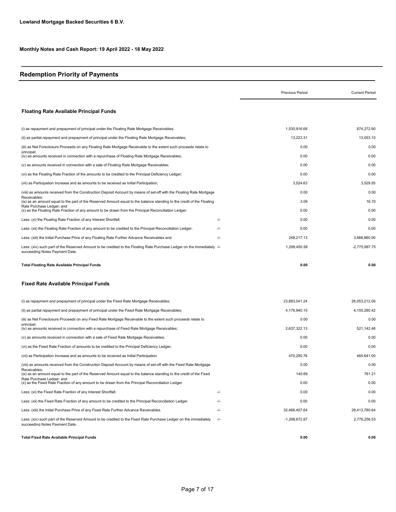# Redemption Priority of Payments

|                                                                                                                                                           |       | Previous Period | <b>Current Period</b> |
|-----------------------------------------------------------------------------------------------------------------------------------------------------------|-------|-----------------|-----------------------|
| <b>Floating Rate Available Principal Funds</b>                                                                                                            |       |                 |                       |
| (i) as repayment and prepayment of principal under the Floating Rate Mortgage Receivables;                                                                |       | 1,530,916.68    | 874,272.90            |
| (ii) as partial repayment and prepayment of principal under the Floating Rate Mortgage Receivables;                                                       |       | 13,223.31       | 13,053.10             |
| (iii) as Net Foreclosure Proceeds on any Floating Rate Mortgage Receivable to the extent such proceeds relate to                                          |       | 0.00            | 0.00                  |
| principal:<br>(iv) as amounts received in connection with a repurchase of Floating Rate Mortgage Receivables;                                             |       | 0.00            | 0.00                  |
| (v) as amounts received in connection with a sale of Floating Rate Mortgage Receivables;                                                                  |       | 0.00            | 0.00                  |
| (vi) as the Floating Rate Fraction of the amounts to be credited to the Principal Deficiency Ledger;                                                      |       | 0.00            | 0.00                  |
| (vii) as Participation Increase and as amounts to be received as Initial Participation;                                                                   |       | 3,524.63        | 3,529.55              |
| (viii) as amounts received from the Construction Deposit Account by means of set-off with the Floating Rate Mortgage                                      |       | 0.00            | 0.00                  |
| Receivables;<br>(ix) as an amount equal to the part of the Reserved Amount equal to the balance standing to the credit of the Floating                    |       | 3.09            | 16.70                 |
| Rate Purchase Ledger; and<br>(x) as the Floating Rate Fraction of any amount to be drawn from the Principal Reconciliation Ledger.                        |       | 0.00            | 0.00                  |
| Less: (xi) the Floating Rate Fraction of any Interest Shortfall;                                                                                          | -/-   | 0.00            | 0.00                  |
| Less: (xii) the Floating Rate Fraction of any amount to be credited to the Principal Reconciliation Ledger;                                               | -/-   | 0.00            | 0.00                  |
| Less: (xiii) the Initial Purchase Price of any Floating Rate Further Advance Receivables and                                                              | -/-   | 248,217.13      | 3,666,860.00          |
| Less: (xiv) such part of the Reserved Amount to be credited to the Floating Rate Purchase Ledger on the immediately -/-<br>succeeding Notes Payment Date. |       | 1.299.450.58    | $-2,775,987.75$       |
| <b>Total Floating Rate Available Principal Funds</b>                                                                                                      |       | 0.00            | 0.00                  |
| <b>Fixed Rate Available Principal Funds</b>                                                                                                               |       |                 |                       |
| (i) as repayment and prepayment of principal under the Fixed Rate Mortgage Receivables;                                                                   |       | 23,883,041.24   | 26,053,212.06         |
| (ii) as partial repayment and prepayment of principal under the Fixed Rate Mortgage Receivables;                                                          |       | 4,176,940.15    | 4,150,280.42          |
| (iii) as Net Foreclosure Proceeds on any Fixed Rate Mortgage Receivable to the extent such proceeds relate to                                             |       | 0.00            | 0.00                  |
| principal;<br>(iv) as amounts received in connection with a repurchase of Fixed Rate Mortgage Receivables;                                                |       | 2,637,322.13    | 521,142.48            |
| (v) as amounts received in connection with a sale of Fixed Rate Mortgage Receivables;                                                                     |       | 0.00            | 0.00                  |
| (vi) as the Fixed Rate Fraction of amounts to be credited to the Principal Deficiency Ledger;                                                             |       | 0.00            | 0.00                  |
| (vii) as Participation Increase and as amounts to be received as Initial Participation                                                                    |       | 470,290.76      | 464,641.00            |
| (viii) as amounts received from the Construction Deposit Account by means of set-off with the Fixed Rate Mortgage                                         |       | 0.00            | 0.00                  |
| Receivables:<br>(ix) as an amount equal to the part of the Reserved Amount equal to the balance standing to the credit of the Fixed                       |       | 140.69          | 761.21                |
| Rate Purchase Ledger: and<br>(x) as the Fixed Rate Fraction of any amount to be drawn from the Principal Reconciliation Ledger.                           |       | 0.00            | 0.00                  |
| Less: (xi) the Fixed Rate Fraction of any Interest Shortfall;                                                                                             | -/-   | 0.00            | 0.00                  |
| Less: (xii) the Fixed Rate Fraction of any amount to be credited to the Principal Reconciliation Ledger.                                                  | -/-   | 0.00            | 0.00                  |
| Less: (xiii) the Initial Purchase Price of any Fixed Rate Further Advance Receivables.                                                                    | -/-   | 32,466,407.64   | 28,413,780.64         |
| Less: (xiv) such part of the Reserved Amount to be credited to the Fixed Rate Purchase Ledger on the immediately<br>succeeding Notes Payment Date.        | $-/-$ | $-1,298,672.67$ | 2,776,256.53          |
| Total Fixed Rate Available Principal Funds                                                                                                                |       | 0.00            | 0.00                  |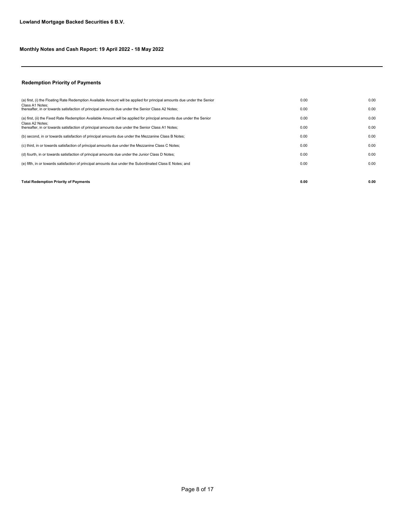#### Redemption Priority of Payments

| <b>Total Redemption Priority of Payments</b>                                                                            | 0.00 | 0.00 |
|-------------------------------------------------------------------------------------------------------------------------|------|------|
|                                                                                                                         |      |      |
| (e) fifth, in or towards satisfaction of principal amounts due under the Subordinated Class E Notes; and                | 0.00 | 0.00 |
| (d) fourth, in or towards satisfaction of principal amounts due under the Junior Class D Notes;                         | 0.00 | 0.00 |
| (c) third, in or towards satisfaction of principal amounts due under the Mezzanine Class C Notes;                       | 0.00 | 0.00 |
| (b) second, in or towards satisfaction of principal amounts due under the Mezzanine Class B Notes;                      | 0.00 | 0.00 |
| Class A2 Notes:<br>thereafter, in or towards satisfaction of principal amounts due under the Senior Class A1 Notes;     | 0.00 | 0.00 |
| (a) first, (ii) the Fixed Rate Redemption Available Amount will be applied for principal amounts due under the Senior   | 0.00 | 0.00 |
| Class A1 Notes:<br>thereafter, in or towards satisfaction of principal amounts due under the Senior Class A2 Notes;     | 0.00 | 0.00 |
| (a) first, (i) the Floating Rate Redemption Available Amount will be applied for principal amounts due under the Senior | 0.00 | 0.00 |
|                                                                                                                         |      |      |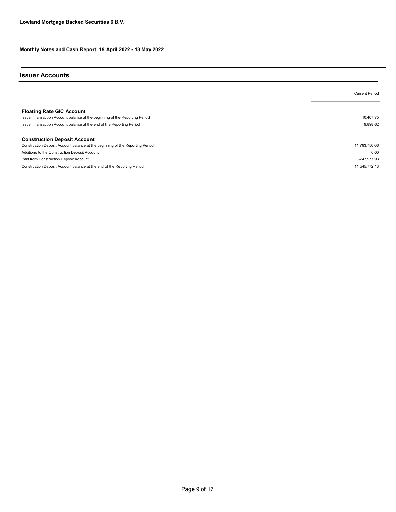#### Issuer Accounts

|                                                                               | <b>Current Period</b> |
|-------------------------------------------------------------------------------|-----------------------|
|                                                                               |                       |
| <b>Floating Rate GIC Account</b>                                              |                       |
| Issuer Transaction Account balance at the beginning of the Reporting Period   | 10.407.75             |
| Issuer Transaction Account balance at the end of the Reporting Period         | 9,898.62              |
| <b>Construction Deposit Account</b>                                           |                       |
| Construction Deposit Account balance at the beginning of the Reporting Period | 11,793,750.06         |
| Additions to the Construction Deposit Account                                 | 0.00                  |
| Paid from Construction Deposit Account                                        | $-247,977.93$         |
| Construction Deposit Account balance at the end of the Reporting Period       | 11.545.772.13         |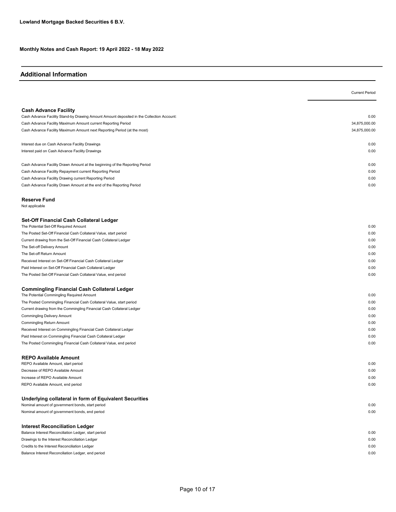## Additional Information

|                                                                                                                                     | <b>Current Period</b> |
|-------------------------------------------------------------------------------------------------------------------------------------|-----------------------|
| <b>Cash Advance Facility</b>                                                                                                        |                       |
| Cash Advance Facility Stand-by Drawing Amount Amount deposited in the Collection Account:                                           | 0.00                  |
| Cash Advance Facility Maximum Amount current Reporting Period                                                                       | 34,875,000.00         |
| Cash Advance Facility Maximum Amount next Reporting Period (at the most)                                                            | 34,875,000.00         |
| Interest due on Cash Advance Facility Drawings                                                                                      | 0.00                  |
| Interest paid on Cash Advance Facility Drawings                                                                                     | 0.00                  |
| Cash Advance Facility Drawn Amount at the beginning of the Reporting Period                                                         | 0.00                  |
| Cash Advance Facility Repayment current Reporting Period                                                                            | 0.00                  |
| Cash Advance Facility Drawing current Reporting Period                                                                              | 0.00                  |
| Cash Advance Facility Drawn Amount at the end of the Reporting Period                                                               | 0.00                  |
| Reserve Fund<br>Not applicable                                                                                                      |                       |
| Set-Off Financial Cash Collateral Ledger<br>The Potential Set-Off Required Amount                                                   | 0.00                  |
| The Posted Set-Off Financial Cash Collateral Value, start period                                                                    | 0.00                  |
| Current drawing from the Set-Off Financial Cash Collateral Ledger                                                                   | 0.00                  |
| The Set-off Delivery Amount                                                                                                         | 0.00                  |
| The Set-off Return Amount                                                                                                           | 0.00                  |
| Received Interest on Set-Off Financial Cash Collateral Ledger                                                                       | 0.00                  |
| Paid Interest on Set-Off Financial Cash Collateral Ledger                                                                           | 0.00                  |
| The Posted Set-Off Financial Cash Collateral Value, end period                                                                      | 0.00                  |
| Commingling Financial Cash Collateral Ledger                                                                                        |                       |
| The Potential Commingling Required Amount                                                                                           | 0.00                  |
| The Posted Commingling Financial Cash Collateral Value, start period                                                                | 0.00                  |
| Current drawing from the Commingling Financial Cash Collateral Ledger                                                               | 0.00                  |
| Commingling Delivery Amount                                                                                                         | 0.00                  |
| Commingling Return Amount                                                                                                           | 0.00                  |
| Received Interest on Commingling Financial Cash Collateral Ledger                                                                   | 0.00                  |
| Paid Interest on Commingling Financial Cash Collateral Ledger<br>The Posted Commingling Financial Cash Collateral Value, end period | 0.00<br>0.00          |
| <b>REPO Available Amount</b>                                                                                                        |                       |
| REPO Available Amount, start period                                                                                                 | 0.00                  |
| Decrease of REPO Available Amount                                                                                                   | 0.00                  |
| Increase of REPO Available Amount                                                                                                   | 0.00                  |
| REPO Available Amount, end period                                                                                                   | 0.00                  |
| Underlying collateral in form of Equivalent Securities<br>Nominal amount of government bonds, start period                          | 0.00                  |
| Nominal amount of government bonds, end period                                                                                      | 0.00                  |
|                                                                                                                                     |                       |
| <b>Interest Reconciliation Ledger</b>                                                                                               |                       |
| Balance Interest Reconciliation Ledger, start period                                                                                | 0.00                  |
| Drawings to the Interest Reconciliation Ledger                                                                                      | 0.00                  |
| Credits to the Interest Reconciliation Ledger                                                                                       | 0.00                  |

Balance Interest Reconciliation Ledger, end period 0.00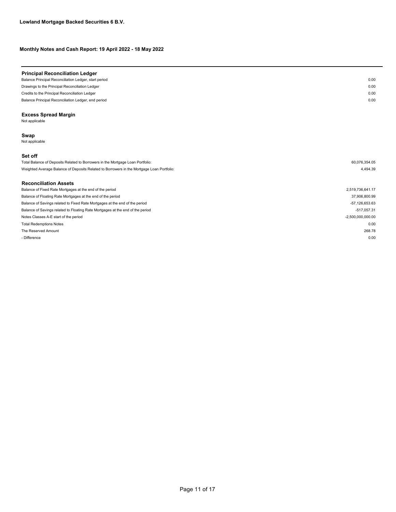| <b>Principal Reconciliation Ledger</b>                |      |
|-------------------------------------------------------|------|
| Balance Principal Reconciliation Ledger, start period | 0.00 |
| Drawings to the Principal Reconciliation Ledger       | 0.00 |
| Credits to the Principal Reconciliation Ledger        | 0.00 |
| Balance Principal Reconciliation Ledger, end period   | 0.00 |
| <b>Excess Spread Margin</b>                           |      |

Not applicable

#### Swap

Not applicable

#### Set off

| Total Balance of Deposits Related to Borrowers in the Mortgage Loan Portfolio:            | 60.076.354.05 |
|-------------------------------------------------------------------------------------------|---------------|
| Weighted Average Balance of Deposits Related to Borrowers in the Mortgage Loan Portfolio: | 4.494.39      |
|                                                                                           |               |

## Reconciliation Assets

| Balance of Fixed Rate Mortgages at the end of the period                       | 2,519,736,641.17    |
|--------------------------------------------------------------------------------|---------------------|
| Balance of Floating Rate Mortgages at the end of the period                    | 37,906,800.99       |
| Balance of Savings related to Fixed Rate Mortgages at the end of the period    | -57,126,653.63      |
| Balance of Savings related to Floating Rate Mortgages at the end of the period | $-517.057.31$       |
| Notes Classes A-E start of the period                                          | $-2,500,000,000.00$ |
| <b>Total Redemptions Notes</b>                                                 | 0.00                |
| The Reserved Amount                                                            | 268.78              |
| - Difference                                                                   | 0.00                |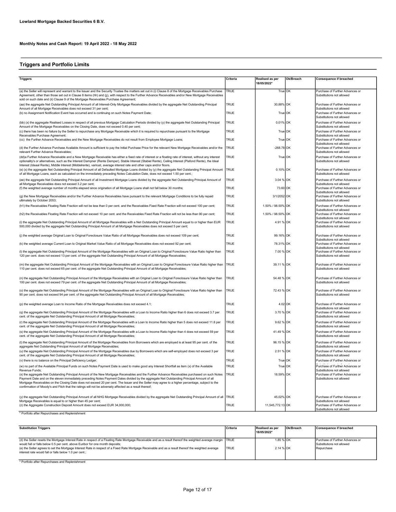# Triggers and Portfolio Limits

| <b>Triggers</b>                                                                                                                                                                                                                                                                                                                                                                                                                                                                                                                                                                                             | Criteria     | Realised as per<br>18/05/2022* | Ok/Breach | Consequence if breached                                                                         |
|-------------------------------------------------------------------------------------------------------------------------------------------------------------------------------------------------------------------------------------------------------------------------------------------------------------------------------------------------------------------------------------------------------------------------------------------------------------------------------------------------------------------------------------------------------------------------------------------------------------|--------------|--------------------------------|-----------|-------------------------------------------------------------------------------------------------|
| (a) the Seller will represent and warrant to the Issuer and the Security Trustee the matters set out in (i) Clause 8 of the Mortgage Receivables Purchase<br>Agreement, other than those set out in Clause 8 items (hh) and (jj), with respect to the Further Advance Receivables and/or New Mortgage Receivables                                                                                                                                                                                                                                                                                           | <b>TRUE</b>  | True OK                        |           | Purchase of Further Advances or<br>Substitutions not allowed                                    |
| sold on such date and (ii) Clause 9 of the Mortgage Receivables Purchase Agreement;<br>(aa) the aggregate Net Outstanding Principal Amount of all Interest-Only Mortgage Receivables divided by the aggregate Net Outstanding Principal<br>Amount of all Mortgage Receivables does not exceed 31 per cent;                                                                                                                                                                                                                                                                                                  | <b>TRUE</b>  | 30,88% OK                      |           | Purchase of Further Advances or<br>Substitutions not allowed                                    |
| (b) no Assignment Notification Event has occurred and is continuing on such Notes Payment Date;                                                                                                                                                                                                                                                                                                                                                                                                                                                                                                             | TRUE         | True OK                        |           | Purchase of Further Advances or<br>Substitutions not allowed                                    |
| (bb) (x) the aggregate Realised Losses in respect of all previous Mortgage Calculation Periods divided by (y) the aggregate Net Outstanding Principal<br>Amount of the Mortgage Receivables on the Closing Date, does not exceed 0.40 per cent;                                                                                                                                                                                                                                                                                                                                                             | TRUE         | 0.01% OK                       |           | Purchase of Further Advances or<br>Substitutions not allowed                                    |
| (c) there has been no failure by the Seller to repurchase any Mortgage Receivable which it is required to repurchase pursuant to the Mortgage<br>Receivables Purchase Agreement:                                                                                                                                                                                                                                                                                                                                                                                                                            | <b>TRUE</b>  | True OK                        |           | Purchase of Further Advances or<br>Substitutions not allowed                                    |
| (cc) the Further Advance Receivables and the New Mortgage Receivables do not result from Employee Mortgage Loans;<br>(d) the Further Advance Purchase Available Amount is sufficient to pay the Initial Purchase Price for the relevant New Mortgage Receivables and/or the                                                                                                                                                                                                                                                                                                                                 | TRUE<br>TRUE | True OK<br>$-268.78$ OK        |           | Purchase of Further Advances or<br>Substitutions not allowed<br>Purchase of Further Advances or |
| relevant Further Advance Receivables                                                                                                                                                                                                                                                                                                                                                                                                                                                                                                                                                                        | <b>TRUE</b>  |                                |           | Substitutions not allowed<br>Purchase of Further Advances or                                    |
| (dd)a Further Advance Receivable and a New Mortgage Receivable has either a fixed rate of interest or a floating rate of interest, without any interest<br>optionality's or alternatives, such as the Interest Dampner (Rente Demper), Stable Interest (Stabiel Rente), Ceiling Interest (Plafond Rente), the Ideal<br>Interest (Ideaal Rente), Middle Interest (Middelrente), varirust, average interest rate and other caps and/or floors.<br>(e) (x) the aggregate Net Outstanding Principal Amount of all Defaulted Mortgage Loans divided by (y) the aggregate Net Outstanding Principal Amount   TRUE |              | True OK<br>0.10% OK            |           | Substitutions not allowed<br>Purchase of Further Advances or                                    |
| of all Mortgage Loans, each as calculated on the immediately preceding Notes Calculation Date, does not exceed 1.50 per cent.;                                                                                                                                                                                                                                                                                                                                                                                                                                                                              |              |                                |           | Substitutions not allowed                                                                       |
| (ee) the aggregate Net Outstanding Principal Amount of all Investment Mortgage Loans divided by the aggregate Net Outstanding Principal Amount of<br>all Mortgage Receivables does not exceed 3.2 per cent;<br>(f) the weighted average number of months elapsed since origination of all Mortgage Loans shall not fall below 30 months;                                                                                                                                                                                                                                                                    | TRUE<br>TRUE | 3.04 % OK<br>73.60 OK          |           | Purchase of Further Advances or<br>Substitutions not allowed<br>Purchase of Further Advances or |
| (a) the New Mortgage Receivables and/or the Further Advance Receivables have pursuant to the relevant Mortgage Conditions to be fully repaid                                                                                                                                                                                                                                                                                                                                                                                                                                                                | TRUE         | 3/1/2052 OK                    |           | Substitutions not allowed<br>Purchase of Further Advances or                                    |
| ultimately by October 2053;<br>(h1) the Receivables Floating Rate Fraction will not be less than 0 per cent. and the Receivables Fixed Rate Fraction will not exceed 100 per cent;                                                                                                                                                                                                                                                                                                                                                                                                                          | <b>TRUE</b>  | 1.50% / 98.50% OK              |           | Substitutions not allowed<br>Purchase of Further Advances or                                    |
| (h2) the Receivables Floating Rate Fraction will not exceed 10 per cent. and the Receivables Fixed Rate Fraction will not be less than 90 per cent;                                                                                                                                                                                                                                                                                                                                                                                                                                                         | TRUF         | 1.50% / 98.50% OK              |           | Substitutions not allowed<br>Purchase of Further Advances or                                    |
| (i) the aggregate Net Outstanding Principal Amount of all Mortgage Receivables with a Net Outstanding Principal Amount equal to or higher than EUR<br>500,000 divided by the aggregate Net Outstanding Principal Amount of all Mortgage Receivables does not exceed 5 per cent;                                                                                                                                                                                                                                                                                                                             | TRUE         | 4.91 % OK                      |           | Substitutions not allowed<br>Purchase of Further Advances or<br>Substitutions not allowed       |
| (j) the weighted average Original Loan to Original Foreclosure Value Ratio of all Mortgage Receivables does not exceed 109 per cent;                                                                                                                                                                                                                                                                                                                                                                                                                                                                        | TRUE         | 99.16% OK                      |           | Purchase of Further Advances or<br>Substitutions not allowed                                    |
| (k) the weighted average Current Loan to Original Market Value Ratio of all Mortgage Receivables does not exceed 92 per cent;                                                                                                                                                                                                                                                                                                                                                                                                                                                                               | TRUE         | 78.31% OK                      |           | Purchase of Further Advances or<br>Substitutions not allowed                                    |
| (I) the aggregate Net Outstanding Principal Amount of the Mortgage Receivables with an Original Loan to Original Foreclosure Value Ratio higher than<br>120 per cent. does not exceed 13 per cent. of the aggregate Net Outstanding Principal Amount of all Mortgage Receivables;                                                                                                                                                                                                                                                                                                                           | TRUF         | 7.00 % OK                      |           | Purchase of Further Advances or<br>Substitutions not allowed                                    |
| (m) the aggregate Net Outstanding Principal Amount of the Mortgage Receivables with an Original Loan to Original Foreclosure Value Ratio higher than<br>110 per cent. does not exceed 65 per cent. of the aggregate Net Outstanding Principal Amount of all Mortgage Receivables;                                                                                                                                                                                                                                                                                                                           | <b>TRUE</b>  | 39.11 % OK                     |           | Purchase of Further Advances or<br>Substitutions not allowed                                    |
| (n) the aggregate Net Outstanding Principal Amount of the Mortgage Receivables with an Original Loan to Original Foreclosure Value Ratio higher than<br>100 per cent. does not exceed 79 per cent. of the aggregate Net Outstanding Principal Amount of all Mortgage Receivables;                                                                                                                                                                                                                                                                                                                           | TRUE         | 54.48 % OK                     |           | Purchase of Further Advances or<br>Substitutions not allowed                                    |
| (o) the aggregate Net Outstanding Principal Amount of the Mortgage Receivables with an Original Loan to Original Foreclosure Value Ratio higher than<br>90 per cent. does not exceed 94 per cent. of the aggregate Net Outstanding Principal Amount of all Mortgage Receivables;                                                                                                                                                                                                                                                                                                                            | TRUE         | 72.43 % OK                     |           | Purchase of Further Advances or<br>Substitutions not allowed                                    |
| (p) the weighted average Loan to Income Ratio of the Mortgage Receivables does not exceed 4.1;                                                                                                                                                                                                                                                                                                                                                                                                                                                                                                              | TRUE         | 4.02 OK                        |           | Purchase of Further Advances or<br>Substitutions not allowed                                    |
| (q) the aggregate Net Outstanding Principal Amount of the Mortgage Receivables with a Loan to Income Ratio higher than 6 does not exceed 3.7 per<br>cent. of the aggregate Net Outstanding Principal Amount of all Mortgage Receivables;                                                                                                                                                                                                                                                                                                                                                                    | TRUE         | 3.70 % OK                      |           | Purchase of Further Advances or<br>Substitutions not allowed                                    |
| (r) the aggregate Net Outstanding Principal Amount of the Mortgage Receivables with a Loan to Income Ratio higher than 5 does not exceed 11.8 per<br>cent. of the aggregate Net Outstanding Principal Amount of all Mortgage Receivables;                                                                                                                                                                                                                                                                                                                                                                   | <b>TRUE</b>  | 9.62 % OK                      |           | Purchase of Further Advances or<br>Substitutions not allowed                                    |
| (s) the aggregate Net Outstanding Principal Amount of the Mortgage Receivables with a Loan to Income Ratio higher than 4 does not exceed 59 per<br>cent. of the aggregate Net Outstanding Principal Amount of all Mortgage Receivables;                                                                                                                                                                                                                                                                                                                                                                     | TRUF         | 41.49 % OK                     |           | Purchase of Further Advances or<br>Substitutions not allowed                                    |
| (t) the aggregate Net Outstanding Principal Amount of the Mortgage Receivables from Borrowers which are employed is at least 95 per cent. of the<br>aggregate Net Outstanding Principal Amount of all Mortgage Receivables;                                                                                                                                                                                                                                                                                                                                                                                 | <b>TRUE</b>  | 96.15 % OK                     |           | Purchase of Further Advances or<br>Substitutions not allowed                                    |
| (u) the aggregate Net Outstanding Principal Amount of the Mortgage Receivables due by Borrowers which are self-employed does not exceed 3 per<br>cent. of the aggregate Net Outstanding Principal Amount of all Mortgage Receivables;                                                                                                                                                                                                                                                                                                                                                                       | TRUF         | 2.51 % OK                      |           | Purchase of Further Advances or<br>Substitutions not allowed                                    |
| (v) there is no balance on the Principal Deficiency Ledger;                                                                                                                                                                                                                                                                                                                                                                                                                                                                                                                                                 | <b>TRUE</b>  | True OK                        |           | Purchase of Further Advances or                                                                 |
| (w) no part of the Available Principal Funds on such Notes Payment Date is used to make good any Interest Shortfall as item (x) of the Available<br>Revenue Funds:                                                                                                                                                                                                                                                                                                                                                                                                                                          | TRUE         | True OK                        |           | Purchase of Further Advances or<br>Substitutions not allowed                                    |
| (x) the aggregate Net Outstanding Principal Amount of the New Mortgage Receivables and the Further Advance Receivables purchased on such Notes<br>Payment Date and on the eleven immediately preceding Notes Payment Dates divided by the aggregate Net Outstanding Principal Amount of all<br>Mortgage Receivables on the Closing Date does not exceed 20 per cent. The Issuer and the Seller may agree to a higher percentage, subject to the<br>confirmation of Moody's and Fitch that the ratings will not be adversely affected as a result thereof;                                                   | TRUF         | 18.59% OK                      |           | Purchase of Further Advances or<br>Substitutions not allowed                                    |
| (y) the aggregate Net Outstanding Principal Amount of all NHG Mortgage Receivables divided by the aggregate Net Outstanding Principal Amount of all TRUE                                                                                                                                                                                                                                                                                                                                                                                                                                                    |              | 45,02% OK                      |           | Purchase of Further Advances or                                                                 |
| Mortgage Receivables is equal to or higher than 45 per cent;<br>(z) the Aggregate Construction Deposit Amount does not exceed EUR 34,000,000;                                                                                                                                                                                                                                                                                                                                                                                                                                                               | TRUE         | 11,545,772.13 OK               |           | Substitutions not allowed<br>Purchase of Further Advances or<br>Substitutions not allowed       |

\* Portfolio after Repurchases and Replenishment

| <b>Substitution Triggers</b>                                                                                                                                                                                                                 | Criteria    | <b>Realised as per</b><br>18/05/2022* | <b>Ok/Breach</b> | Consequence if breached                                      |
|----------------------------------------------------------------------------------------------------------------------------------------------------------------------------------------------------------------------------------------------|-------------|---------------------------------------|------------------|--------------------------------------------------------------|
| (d) the Seller resets the Mortgage Interest Rate in respect of a Floating Rate Mortgage Receivable and as a result thereof the weighted average margin TRUE<br>would fall or falls below 0.5 per cent. above Euribor for one month deposits; |             | 1.85 % OK                             |                  | Purchase of Further Advances or<br>Substitutions not allowed |
| (e) the Seller agrees to set the Mortgage Interest Rate in respect of a Fixed Rate Mortgage Receivable and as a result thereof the weighted average<br>interest rate would fall or falls below 1.0 per cent.:                                | <b>TRUE</b> | 2.14 % OK                             |                  | Repurchase                                                   |

\* Portfolio after Repurchases and Replenishment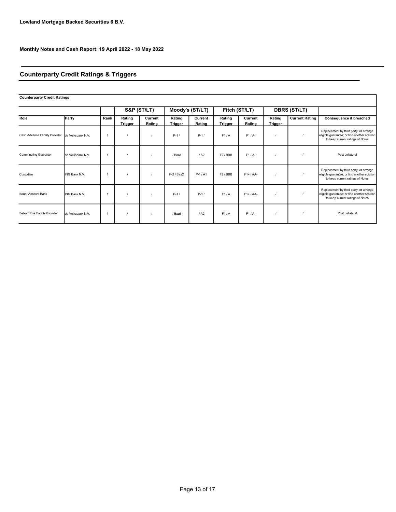# Counterparty Credit Ratings & Triggers

| <b>Counterparty Credit Ratings</b> |                   |      |                   |                   |                          |                   |                     |                   |                          |                       |                                                                                                                            |
|------------------------------------|-------------------|------|-------------------|-------------------|--------------------------|-------------------|---------------------|-------------------|--------------------------|-----------------------|----------------------------------------------------------------------------------------------------------------------------|
|                                    |                   |      |                   | S&P (ST/LT)       |                          | Moody's (ST/LT)   |                     | Fitch (ST/LT)     |                          | <b>DBRS (ST/LT)</b>   |                                                                                                                            |
| Role                               | Party             | Rank | Rating<br>Trigger | Current<br>Rating | Rating<br><b>Trigger</b> | Current<br>Rating | Rating<br>Trigger   | Current<br>Rating | Rating<br><b>Trigger</b> | <b>Current Rating</b> | <b>Consequence if breached</b>                                                                                             |
| Cash Advance Facility Provider     | de Volksbank N.V. |      |                   |                   | $P-1/$                   | $P-1/$            | F1/A                | $F1/A-$           |                          |                       | Replacement by third party; or arrange<br>eligible guarantee; or find another solution<br>to keep current ratings of Notes |
| <b>Commingling Guarantor</b>       | de Volksbank N.V. |      |                   |                   | /Baa1                    | / A2              | F <sub>2</sub> /BBB | $F1/A-$           |                          |                       | Post collateral                                                                                                            |
| Custodian                          | ING Bank N.V.     |      |                   |                   | $P-2/Baa2$               | $P-1/A1$          | F2/BBB              | $F1+ / AA-$       |                          |                       | Replacement by third party; or arrange<br>eligible guarantee; or find another solution<br>to keep current ratings of Notes |
| <b>Issuer Account Bank</b>         | ING Bank N.V.     |      |                   |                   | $P-1/$                   | $P-1/$            | F1/A                | $F1+ / AA-$       |                          |                       | Replacement by third party; or arrange<br>eligible guarantee; or find another solution<br>to keep current ratings of Notes |
| Set-off Risk Facility Provider     | de Volksbank N.V. |      |                   |                   | / Baa3                   | / A2              | F1/A                | $F1/A-$           |                          |                       | Post collateral                                                                                                            |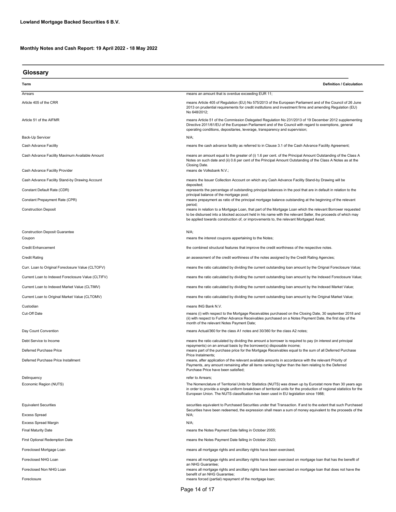| Glossary                                                  |                                                                                                                                                                                                                                                                                                                               |
|-----------------------------------------------------------|-------------------------------------------------------------------------------------------------------------------------------------------------------------------------------------------------------------------------------------------------------------------------------------------------------------------------------|
| Term                                                      | <b>Definition / Calculation</b>                                                                                                                                                                                                                                                                                               |
| Arrears                                                   | means an amount that is overdue exceeding EUR 11;                                                                                                                                                                                                                                                                             |
| Article 405 of the CRR                                    | means Article 405 of Regulation (EU) No 575/2013 of the European Parliament and of the Council of 26 June<br>2013 on prudential requirements for credit institutions and investment firms and amending Regulation (EU)<br>No 648/2012;                                                                                        |
| Article 51 of the AIFMR                                   | means Article 51 of the Commission Delegated Regulation No 231/2013 of 19 December 2012 supplementing<br>Directive 2011/61/EU of the European Parliament and of the Council with regard to exemptions, general<br>operating conditions, depositaries, leverage, transparency and supervision;                                 |
| Back-Up Servicer                                          | N/A;                                                                                                                                                                                                                                                                                                                          |
| Cash Advance Facility                                     | means the cash advance facility as referred to in Clause 3.1 of the Cash Advance Facility Agreement;                                                                                                                                                                                                                          |
| Cash Advance Facility Maximum Available Amount            | means an amount equal to the greater of (i) 1.6 per cent. of the Principal Amount Outstanding of the Class A<br>Notes on such date and (ii) 0.6 per cent of the Principal Amount Outstanding of the Class A Notes as at the<br>Closing Date.                                                                                  |
| Cash Advance Facility Provider                            | means de Volksbank N.V.;                                                                                                                                                                                                                                                                                                      |
| Cash Advance Facility Stand-by Drawing Account            | means the Issuer Collection Account on which any Cash Advance Facility Stand-by Drawing will be<br>deposited;                                                                                                                                                                                                                 |
| Constant Default Rate (CDR)                               | represents the percentage of outstanding principal balances in the pool that are in default in relation to the<br>principal balance of the mortgage pool;                                                                                                                                                                     |
| Constant Prepayment Rate (CPR)                            | means prepayment as ratio of the principal mortgage balance outstanding at the beginning of the relevant                                                                                                                                                                                                                      |
| <b>Construction Deposit</b>                               | period;<br>means in relation to a Mortgage Loan, that part of the Mortgage Loan which the relevant Borrower requested<br>to be disbursed into a blocked account held in his name with the relevant Seller, the proceeds of which may<br>be applied towards construction of, or improvements to, the relevant Mortgaged Asset; |
| <b>Construction Deposit Guarantee</b><br>Coupon           | $N/A$ ;<br>means the interest coupons appertaining to the Notes;                                                                                                                                                                                                                                                              |
| <b>Credit Enhancement</b>                                 | the combined structural features that improve the credit worthiness of the respective notes.                                                                                                                                                                                                                                  |
| <b>Credit Rating</b>                                      | an assessment of the credit worthiness of the notes assigned by the Credit Rating Agencies;                                                                                                                                                                                                                                   |
| Curr. Loan to Original Foreclosure Value (CLTOFV)         | means the ratio calculated by dividing the current outstanding loan amount by the Orignal Foreclosure Value;                                                                                                                                                                                                                  |
| Current Loan to Indexed Foreclosure Value (CLTIFV)        | means the ratio calculated by dividing the current outstanding loan amount by the Indexed Foreclosure Value;                                                                                                                                                                                                                  |
| Current Loan to Indexed Market Value (CLTIMV)             | means the ratio calculated by dividing the current outstanding loan amount by the Indexed Market Value;                                                                                                                                                                                                                       |
| Current Loan to Original Market Value (CLTOMV)            | means the ratio calculated by dividing the current outstanding loan amount by the Original Market Value;                                                                                                                                                                                                                      |
| Custodian                                                 | means ING Bank N.V.                                                                                                                                                                                                                                                                                                           |
| Cut-Off Date                                              | means (i) with respect to the Mortgage Receivables purchased on the Closing Date, 30 september 2018 and<br>(ii) with respect to Further Advance Receivables purchased on a Notes Payment Date, the first day of the<br>month of the relevant Notes Payment Date;                                                              |
| Day Count Convention                                      | means Actual/360 for the class A1 notes and 30/360 for the class A2 notes;                                                                                                                                                                                                                                                    |
| Debt Service to Income                                    | means the ratio calculated by dividing the amount a borrower is required to pay (in interest and principal                                                                                                                                                                                                                    |
| Deferred Purchase Price                                   | repayments) on an annual basis by the borrower(s) disposable income;<br>means part of the purchase price for the Mortgage Receivables equal to the sum of all Deferred Purchase<br>Price Instalments;                                                                                                                         |
| Deferred Purchase Price Installment                       | means, after application of the relevant available amounts in accordance with the relevant Priority of<br>Payments, any amount remaining after all items ranking higher than the item relating to the Deferred<br>Purchase Price have been satisfied;                                                                         |
| Delinquency                                               | refer to Arrears;                                                                                                                                                                                                                                                                                                             |
| Economic Region (NUTS)                                    | The Nomenclature of Territorial Units for Statistics (NUTS) was drawn up by Eurostat more than 30 years ago<br>in order to provide a single uniform breakdown of territorial units for the production of regional statistics for the<br>European Union. The NUTS classification has been used in EU legislation since 1988;   |
| <b>Equivalent Securities</b>                              | securities equivalent to Purchased Securities under that Transaction. If and to the extent that such Purchased<br>Securities have been redeemed, the expression shall mean a sum of money equivalent to the proceeds of the                                                                                                   |
| <b>Excess Spread</b>                                      | N/A;                                                                                                                                                                                                                                                                                                                          |
| <b>Excess Spread Margin</b><br><b>Final Maturity Date</b> | N/A;<br>means the Notes Payment Date falling in October 2055;                                                                                                                                                                                                                                                                 |
|                                                           |                                                                                                                                                                                                                                                                                                                               |
| <b>First Optional Redemption Date</b>                     | means the Notes Payment Date falling in October 2023;                                                                                                                                                                                                                                                                         |
| Foreclosed Mortgage Loan                                  | means all mortgage rights and ancillary rights have been exercised;                                                                                                                                                                                                                                                           |
| Foreclosed NHG Loan                                       | means all mortgage rights and ancillary rights have been exercised on mortgage loan that has the benefit of<br>an NHG Guarantee;                                                                                                                                                                                              |
| Foreclosed Non NHG Loan                                   | means all mortgage rights and ancillary rights have been exercised on mortgage loan that does not have the<br>benefit of an NHG Guarantee;                                                                                                                                                                                    |
| Foreclosure                                               | means forced (partial) repayment of the mortgage loan;                                                                                                                                                                                                                                                                        |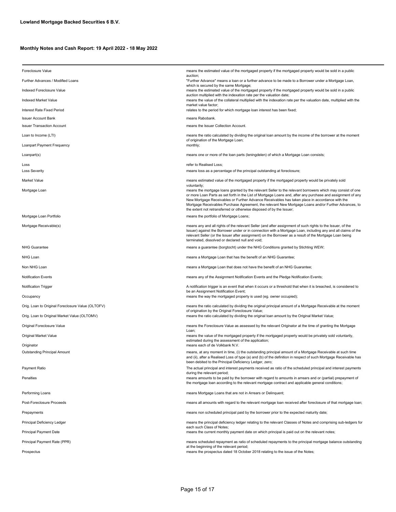| <b>Foreclosure Value</b>                          | means the estimated value of the mortgaged property if the mortgaged property would be sold in a public                                                                                                                                                                                                                                                                                                                                                                                                     |
|---------------------------------------------------|-------------------------------------------------------------------------------------------------------------------------------------------------------------------------------------------------------------------------------------------------------------------------------------------------------------------------------------------------------------------------------------------------------------------------------------------------------------------------------------------------------------|
| Further Advances / Modified Loans                 | auction;<br>"Further Advance" means a loan or a further advance to be made to a Borrower under a Mortgage Loan,                                                                                                                                                                                                                                                                                                                                                                                             |
| Indexed Foreclosure Value                         | which is secured by the same Mortgage;<br>means the estimated value of the mortgaged property if the mortgaged property would be sold in a public                                                                                                                                                                                                                                                                                                                                                           |
| Indexed Market Value                              | auction multiplied with the indexation rate per the valuation date;<br>means the value of the collateral multiplied with the indexation rate per the valuation date, multiplied with the                                                                                                                                                                                                                                                                                                                    |
| Interest Rate Fixed Period                        | market value factor;<br>relates to the period for which mortgage loan interest has been fixed;                                                                                                                                                                                                                                                                                                                                                                                                              |
| <b>Issuer Account Bank</b>                        | means Rabobank.                                                                                                                                                                                                                                                                                                                                                                                                                                                                                             |
| <b>Issuer Transaction Account</b>                 | means the Issuer Collection Account.                                                                                                                                                                                                                                                                                                                                                                                                                                                                        |
| Loan to Income (LTI)                              | means the ratio calculated by dividing the original loan amount by the income of the borrower at the moment                                                                                                                                                                                                                                                                                                                                                                                                 |
| Loanpart Payment Frequency                        | of origination of the Mortgage Loan;<br>monthly;                                                                                                                                                                                                                                                                                                                                                                                                                                                            |
| Loanpart(s)                                       | means one or more of the loan parts (leningdelen) of which a Mortgage Loan consists;                                                                                                                                                                                                                                                                                                                                                                                                                        |
| Loss                                              | refer to Realised Loss;                                                                                                                                                                                                                                                                                                                                                                                                                                                                                     |
| <b>Loss Severity</b>                              | means loss as a percentage of the principal outstanding at foreclosure;                                                                                                                                                                                                                                                                                                                                                                                                                                     |
| Market Value                                      | means estimated value of the mortgaged property if the mortgaged property would be privately sold<br>voluntarily;                                                                                                                                                                                                                                                                                                                                                                                           |
| Mortgage Loan                                     | means the mortgage loans granted by the relevant Seller to the relevant borrowers which may consist of one<br>or more Loan Parts as set forth in the List of Mortgage Loans and, after any purchase and assignment of any<br>New Mortgage Receivables or Further Advance Receivables has taken place in accordance with the<br>Mortgage Receivables Purchase Agreement, the relevant New Mortgage Loans and/or Further Advances, to<br>the extent not retransferred or otherwise disposed of by the Issuer; |
| Mortgage Loan Portfolio                           | means the portfolio of Mortgage Loans;                                                                                                                                                                                                                                                                                                                                                                                                                                                                      |
| Mortgage Receivable(s)                            | means any and all rights of the relevant Seller (and after assignment of such rights to the Issuer, of the<br>Issuer) against the Borrower under or in connection with a Mortgage Loan, including any and all claims of the<br>relevant Seller (or the Issuer after assignment) on the Borrower as a result of the Mortgage Loan being<br>terminated, dissolved or declared null and void;                                                                                                                  |
| <b>NHG Guarantee</b>                              | means a guarantee (borgtocht) under the NHG Conditions granted by Stichting WEW;                                                                                                                                                                                                                                                                                                                                                                                                                            |
| NHG Loan                                          | means a Mortgage Loan that has the benefit of an NHG Guarantee;                                                                                                                                                                                                                                                                                                                                                                                                                                             |
| Non NHG Loan                                      | means a Mortgage Loan that does not have the benefit of an NHG Guarantee;                                                                                                                                                                                                                                                                                                                                                                                                                                   |
| <b>Notification Events</b>                        | means any of the Assignment Notification Events and the Pledge Notification Events;                                                                                                                                                                                                                                                                                                                                                                                                                         |
| Notification Trigger                              | A notification trigger is an event that when it occurs or a threshold that when it is breached, is considered to                                                                                                                                                                                                                                                                                                                                                                                            |
| Occupancy                                         | be an Assignment Notification Event;<br>means the way the mortgaged property is used (eg. owner occupied);                                                                                                                                                                                                                                                                                                                                                                                                  |
| Orig. Loan to Original Foreclosure Value (OLTOFV) | means the ratio calculated by dividing the original principal amount of a Mortgage Receivable at the moment                                                                                                                                                                                                                                                                                                                                                                                                 |
| Orig. Loan to Original Market Value (OLTOMV)      | of origination by the Original Foreclosure Value;<br>means the ratio calculated by dividing the original loan amount by the Original Market Value;                                                                                                                                                                                                                                                                                                                                                          |
| Original Foreclosure Value                        | means the Foreclosure Value as assessed by the relevant Originator at the time of granting the Mortgage                                                                                                                                                                                                                                                                                                                                                                                                     |
| Original Market Value                             | Loan;<br>means the value of the mortgaged property if the mortgaged property would be privately sold voluntarily,                                                                                                                                                                                                                                                                                                                                                                                           |
| Originator                                        | estimated during the assessment of the application;<br>means each of de Volkbank N.V.                                                                                                                                                                                                                                                                                                                                                                                                                       |
| <b>Outstanding Principal Amount</b>               | means, at any moment in time, (i) the outstanding principal amount of a Mortgage Receivable at such time<br>and (ii), after a Realised Loss of type (a) and (b) of the definition in respect of such Mortgage Receivable has<br>been debited to the Principal Deficiency Ledger, zero;                                                                                                                                                                                                                      |
| Payment Ratio                                     | The actual principal and interest payments received as ratio of the scheduled principal and interest payments                                                                                                                                                                                                                                                                                                                                                                                               |
| Penalties                                         | during the relevant period;<br>means amounts to be paid by the borrower with regard to amounts in arrears and or (partial) prepayment of<br>the mortgage loan according to the relevant mortgage contract and applicable general conditions;                                                                                                                                                                                                                                                                |
| Performing Loans                                  | means Mortgage Loans that are not in Arrears or Delinquent;                                                                                                                                                                                                                                                                                                                                                                                                                                                 |
| Post-Foreclosure Proceeds                         | means all amounts with regard to the relevant mortgage loan received after foreclosure of that mortgage loan;                                                                                                                                                                                                                                                                                                                                                                                               |
| Prepayments                                       | means non scheduled principal paid by the borrower prior to the expected maturity date;                                                                                                                                                                                                                                                                                                                                                                                                                     |
| Principal Deficiency Ledger                       | means the principal deficiency ledger relating to the relevant Classes of Notes and comprising sub-ledgers for                                                                                                                                                                                                                                                                                                                                                                                              |
| <b>Principal Payment Date</b>                     | each such Class of Notes;<br>means the current monthly payment date on which principal is paid out on the relevant notes;                                                                                                                                                                                                                                                                                                                                                                                   |
| Principal Payment Rate (PPR)                      | means scheduled repayment as ratio of scheduled repayments to the principal mortgage balance outstanding                                                                                                                                                                                                                                                                                                                                                                                                    |
| Prospectus                                        | at the beginning of the relevant period;<br>means the prospectus dated 18 October 2018 relating to the issue of the Notes;                                                                                                                                                                                                                                                                                                                                                                                  |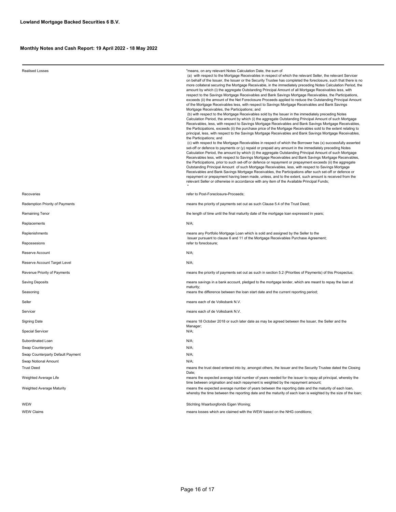| <b>Realised Losses</b>            | "means, on any relevant Notes Calculation Date, the sum of<br>(a) with respect to the Mortgage Receivables in respect of which the relevant Seller, the relevant Servicer<br>on behalf of the Issuer, the Issuer or the Security Trustee has completed the foreclosure, such that there is no<br>more collateral securing the Mortgage Receivable, in the immediately preceding Notes Calculation Period, the<br>amount by which (i) the aggregate Outstanding Principal Amount of all Mortgage Receivables less, with<br>respect to the Savings Mortgage Receivables and Bank Savings Mortgage Receivables, the Participations,<br>exceeds (ii) the amount of the Net Foreclosure Proceeds applied to reduce the Outstanding Principal Amount<br>of the Mortgage Receivables less, with respect to Savings Mortgage Receivables and Bank Savings<br>Mortgage Receivables, the Participations; and<br>(b) with respect to the Mortgage Receivables sold by the Issuer in the immediately preceding Notes<br>Calculation Period, the amount by which (i) the aggregate Outstanding Principal Amount of such Mortgage<br>Receivables, less, with respect to Savings Mortgage Receivables and Bank Savings Mortgage Receivables,<br>the Participations, exceeds (ii) the purchase price of the Mortgage Receivables sold to the extent relating to<br>principal, less, with respect to the Savings Mortgage Receivables and Bank Savings Mortgage Receivables,<br>the Participations; and<br>(c) with respect to the Mortgage Receivables in respect of which the Borrower has (x) successfully asserted<br>set-off or defence to payments or (y) repaid or prepaid any amount in the immediately preceding Notes<br>Calculation Period, the amount by which (i) the aggregate Outstanding Principal Amount of such Mortgage<br>Receivables less, with respect to Savings Mortgage Receivables and Bank Savings Mortgage Receivables,<br>the Participations, prior to such set-off or defence or repayment or prepayment exceeds (ii) the aggregate<br>Outstanding Principal Amount of such Mortgage Receivables, less, with respect to Savings Mortgage<br>Receivables and Bank Savings Mortgage Receivables, the Participations after such set-off or defence or<br>repayment or prepayment having been made, unless, and to the extent, such amount is received from the<br>relevant Seller or otherwise in accordance with any item of the Available Principal Funds; |
|-----------------------------------|------------------------------------------------------------------------------------------------------------------------------------------------------------------------------------------------------------------------------------------------------------------------------------------------------------------------------------------------------------------------------------------------------------------------------------------------------------------------------------------------------------------------------------------------------------------------------------------------------------------------------------------------------------------------------------------------------------------------------------------------------------------------------------------------------------------------------------------------------------------------------------------------------------------------------------------------------------------------------------------------------------------------------------------------------------------------------------------------------------------------------------------------------------------------------------------------------------------------------------------------------------------------------------------------------------------------------------------------------------------------------------------------------------------------------------------------------------------------------------------------------------------------------------------------------------------------------------------------------------------------------------------------------------------------------------------------------------------------------------------------------------------------------------------------------------------------------------------------------------------------------------------------------------------------------------------------------------------------------------------------------------------------------------------------------------------------------------------------------------------------------------------------------------------------------------------------------------------------------------------------------------------------------------------------------------------------------------------------------------------------------------------------------------------------------------------------------------------------|
| Recoveries                        | refer to Post-Foreclosure-Proceeds;                                                                                                                                                                                                                                                                                                                                                                                                                                                                                                                                                                                                                                                                                                                                                                                                                                                                                                                                                                                                                                                                                                                                                                                                                                                                                                                                                                                                                                                                                                                                                                                                                                                                                                                                                                                                                                                                                                                                                                                                                                                                                                                                                                                                                                                                                                                                                                                                                                    |
| Redemption Priority of Payments   | means the priority of payments set out as such Clause 5.4 of the Trust Deed;                                                                                                                                                                                                                                                                                                                                                                                                                                                                                                                                                                                                                                                                                                                                                                                                                                                                                                                                                                                                                                                                                                                                                                                                                                                                                                                                                                                                                                                                                                                                                                                                                                                                                                                                                                                                                                                                                                                                                                                                                                                                                                                                                                                                                                                                                                                                                                                           |
| Remaining Tenor                   | the length of time until the final maturity date of the mortgage loan expressed in years;                                                                                                                                                                                                                                                                                                                                                                                                                                                                                                                                                                                                                                                                                                                                                                                                                                                                                                                                                                                                                                                                                                                                                                                                                                                                                                                                                                                                                                                                                                                                                                                                                                                                                                                                                                                                                                                                                                                                                                                                                                                                                                                                                                                                                                                                                                                                                                              |
| Replacements                      | N/A;                                                                                                                                                                                                                                                                                                                                                                                                                                                                                                                                                                                                                                                                                                                                                                                                                                                                                                                                                                                                                                                                                                                                                                                                                                                                                                                                                                                                                                                                                                                                                                                                                                                                                                                                                                                                                                                                                                                                                                                                                                                                                                                                                                                                                                                                                                                                                                                                                                                                   |
| Replenishments                    | means any Portfolio Mortgage Loan which is sold and assigned by the Seller to the                                                                                                                                                                                                                                                                                                                                                                                                                                                                                                                                                                                                                                                                                                                                                                                                                                                                                                                                                                                                                                                                                                                                                                                                                                                                                                                                                                                                                                                                                                                                                                                                                                                                                                                                                                                                                                                                                                                                                                                                                                                                                                                                                                                                                                                                                                                                                                                      |
| Repossesions                      | Issuer pursuant to clause 6 and 11 of the Mortgage Receivables Purchase Agreement;<br>refer to foreclosure;                                                                                                                                                                                                                                                                                                                                                                                                                                                                                                                                                                                                                                                                                                                                                                                                                                                                                                                                                                                                                                                                                                                                                                                                                                                                                                                                                                                                                                                                                                                                                                                                                                                                                                                                                                                                                                                                                                                                                                                                                                                                                                                                                                                                                                                                                                                                                            |
| Reserve Account                   | N/A;                                                                                                                                                                                                                                                                                                                                                                                                                                                                                                                                                                                                                                                                                                                                                                                                                                                                                                                                                                                                                                                                                                                                                                                                                                                                                                                                                                                                                                                                                                                                                                                                                                                                                                                                                                                                                                                                                                                                                                                                                                                                                                                                                                                                                                                                                                                                                                                                                                                                   |
| Reserve Account Target Level      | N/A;                                                                                                                                                                                                                                                                                                                                                                                                                                                                                                                                                                                                                                                                                                                                                                                                                                                                                                                                                                                                                                                                                                                                                                                                                                                                                                                                                                                                                                                                                                                                                                                                                                                                                                                                                                                                                                                                                                                                                                                                                                                                                                                                                                                                                                                                                                                                                                                                                                                                   |
| Revenue Priority of Payments      | means the priority of payments set out as such in section 5.2 (Priorities of Payments) of this Prospectus;                                                                                                                                                                                                                                                                                                                                                                                                                                                                                                                                                                                                                                                                                                                                                                                                                                                                                                                                                                                                                                                                                                                                                                                                                                                                                                                                                                                                                                                                                                                                                                                                                                                                                                                                                                                                                                                                                                                                                                                                                                                                                                                                                                                                                                                                                                                                                             |
| Saving Deposits                   | means savings in a bank account, pledged to the mortgage lender, which are meant to repay the loan at<br>maturity;                                                                                                                                                                                                                                                                                                                                                                                                                                                                                                                                                                                                                                                                                                                                                                                                                                                                                                                                                                                                                                                                                                                                                                                                                                                                                                                                                                                                                                                                                                                                                                                                                                                                                                                                                                                                                                                                                                                                                                                                                                                                                                                                                                                                                                                                                                                                                     |
| Seasoning                         | means the difference between the loan start date and the current reporting period;                                                                                                                                                                                                                                                                                                                                                                                                                                                                                                                                                                                                                                                                                                                                                                                                                                                                                                                                                                                                                                                                                                                                                                                                                                                                                                                                                                                                                                                                                                                                                                                                                                                                                                                                                                                                                                                                                                                                                                                                                                                                                                                                                                                                                                                                                                                                                                                     |
| Seller                            | means each of de Volksbank N.V.                                                                                                                                                                                                                                                                                                                                                                                                                                                                                                                                                                                                                                                                                                                                                                                                                                                                                                                                                                                                                                                                                                                                                                                                                                                                                                                                                                                                                                                                                                                                                                                                                                                                                                                                                                                                                                                                                                                                                                                                                                                                                                                                                                                                                                                                                                                                                                                                                                        |
| Servicer                          | means each of de Volksbank N.V.                                                                                                                                                                                                                                                                                                                                                                                                                                                                                                                                                                                                                                                                                                                                                                                                                                                                                                                                                                                                                                                                                                                                                                                                                                                                                                                                                                                                                                                                                                                                                                                                                                                                                                                                                                                                                                                                                                                                                                                                                                                                                                                                                                                                                                                                                                                                                                                                                                        |
| <b>Signing Date</b>               | means 18 October 2018 or such later date as may be agreed between the Issuer, the Seller and the<br>Manager;                                                                                                                                                                                                                                                                                                                                                                                                                                                                                                                                                                                                                                                                                                                                                                                                                                                                                                                                                                                                                                                                                                                                                                                                                                                                                                                                                                                                                                                                                                                                                                                                                                                                                                                                                                                                                                                                                                                                                                                                                                                                                                                                                                                                                                                                                                                                                           |
| <b>Special Servicer</b>           | N/A;                                                                                                                                                                                                                                                                                                                                                                                                                                                                                                                                                                                                                                                                                                                                                                                                                                                                                                                                                                                                                                                                                                                                                                                                                                                                                                                                                                                                                                                                                                                                                                                                                                                                                                                                                                                                                                                                                                                                                                                                                                                                                                                                                                                                                                                                                                                                                                                                                                                                   |
| Subordinated Loan                 | N/A;                                                                                                                                                                                                                                                                                                                                                                                                                                                                                                                                                                                                                                                                                                                                                                                                                                                                                                                                                                                                                                                                                                                                                                                                                                                                                                                                                                                                                                                                                                                                                                                                                                                                                                                                                                                                                                                                                                                                                                                                                                                                                                                                                                                                                                                                                                                                                                                                                                                                   |
| Swap Counterparty                 | N/A;                                                                                                                                                                                                                                                                                                                                                                                                                                                                                                                                                                                                                                                                                                                                                                                                                                                                                                                                                                                                                                                                                                                                                                                                                                                                                                                                                                                                                                                                                                                                                                                                                                                                                                                                                                                                                                                                                                                                                                                                                                                                                                                                                                                                                                                                                                                                                                                                                                                                   |
| Swap Counterparty Default Payment | N/A;                                                                                                                                                                                                                                                                                                                                                                                                                                                                                                                                                                                                                                                                                                                                                                                                                                                                                                                                                                                                                                                                                                                                                                                                                                                                                                                                                                                                                                                                                                                                                                                                                                                                                                                                                                                                                                                                                                                                                                                                                                                                                                                                                                                                                                                                                                                                                                                                                                                                   |
| Swap Notional Amount              | N/A;                                                                                                                                                                                                                                                                                                                                                                                                                                                                                                                                                                                                                                                                                                                                                                                                                                                                                                                                                                                                                                                                                                                                                                                                                                                                                                                                                                                                                                                                                                                                                                                                                                                                                                                                                                                                                                                                                                                                                                                                                                                                                                                                                                                                                                                                                                                                                                                                                                                                   |
| <b>Trust Deed</b>                 | means the trust deed entered into by, amongst others, the Issuer and the Security Trustee dated the Closing                                                                                                                                                                                                                                                                                                                                                                                                                                                                                                                                                                                                                                                                                                                                                                                                                                                                                                                                                                                                                                                                                                                                                                                                                                                                                                                                                                                                                                                                                                                                                                                                                                                                                                                                                                                                                                                                                                                                                                                                                                                                                                                                                                                                                                                                                                                                                            |
| Weighted Average Life             | Date;<br>means the expected average total number of years needed for the issuer to repay all principal, whereby the<br>time between origination and each repayment is weighted by the repayment amount;                                                                                                                                                                                                                                                                                                                                                                                                                                                                                                                                                                                                                                                                                                                                                                                                                                                                                                                                                                                                                                                                                                                                                                                                                                                                                                                                                                                                                                                                                                                                                                                                                                                                                                                                                                                                                                                                                                                                                                                                                                                                                                                                                                                                                                                                |
| Weighted Average Maturity         | means the expected average number of years between the reporting date and the maturity of each loan,<br>whereby the time between the reporting date and the maturity of each loan is weighted by the size of the loan;                                                                                                                                                                                                                                                                                                                                                                                                                                                                                                                                                                                                                                                                                                                                                                                                                                                                                                                                                                                                                                                                                                                                                                                                                                                                                                                                                                                                                                                                                                                                                                                                                                                                                                                                                                                                                                                                                                                                                                                                                                                                                                                                                                                                                                                 |
| WEW                               | Stichting Waarborgfonds Eigen Woning;                                                                                                                                                                                                                                                                                                                                                                                                                                                                                                                                                                                                                                                                                                                                                                                                                                                                                                                                                                                                                                                                                                                                                                                                                                                                                                                                                                                                                                                                                                                                                                                                                                                                                                                                                                                                                                                                                                                                                                                                                                                                                                                                                                                                                                                                                                                                                                                                                                  |
| <b>WEW Claims</b>                 | means losses which are claimed with the WEW based on the NHG conditions;                                                                                                                                                                                                                                                                                                                                                                                                                                                                                                                                                                                                                                                                                                                                                                                                                                                                                                                                                                                                                                                                                                                                                                                                                                                                                                                                                                                                                                                                                                                                                                                                                                                                                                                                                                                                                                                                                                                                                                                                                                                                                                                                                                                                                                                                                                                                                                                               |